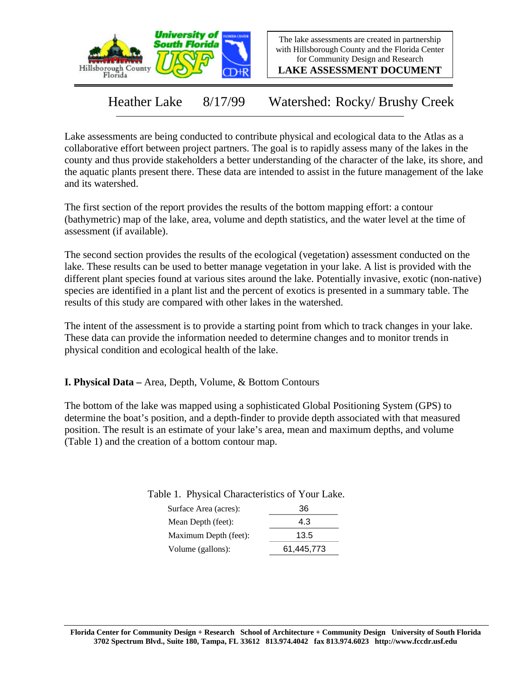

The lake assessments are created in partnership with Hillsborough County and the Florida Center for Community Design and Research

**LAKE ASSESSMENT DOCUMENT**

Heather Lake 8/17/99 Watershed: Rocky/ Brushy Creek

Lake assessments are being conducted to contribute physical and ecological data to the Atlas as a collaborative effort between project partners. The goal is to rapidly assess many of the lakes in the county and thus provide stakeholders a better understanding of the character of the lake, its shore, and the aquatic plants present there. These data are intended to assist in the future management of the lake and its watershed.

The first section of the report provides the results of the bottom mapping effort: a contour (bathymetric) map of the lake, area, volume and depth statistics, and the water level at the time of assessment (if available).

The second section provides the results of the ecological (vegetation) assessment conducted on the lake. These results can be used to better manage vegetation in your lake. A list is provided with the different plant species found at various sites around the lake. Potentially invasive, exotic (non-native) species are identified in a plant list and the percent of exotics is presented in a summary table. The results of this study are compared with other lakes in the watershed.

The intent of the assessment is to provide a starting point from which to track changes in your lake. These data can provide the information needed to determine changes and to monitor trends in physical condition and ecological health of the lake.

**I. Physical Data –** Area, Depth, Volume, & Bottom Contours

The bottom of the lake was mapped using a sophisticated Global Positioning System (GPS) to determine the boat's position, and a depth-finder to provide depth associated with that measured position. The result is an estimate of your lake's area, mean and maximum depths, and volume (Table 1) and the creation of a bottom contour map.

Table 1. Physical Characteristics of Your Lake.

| 4.3        |
|------------|
| 13.5       |
| 61,445,773 |
|            |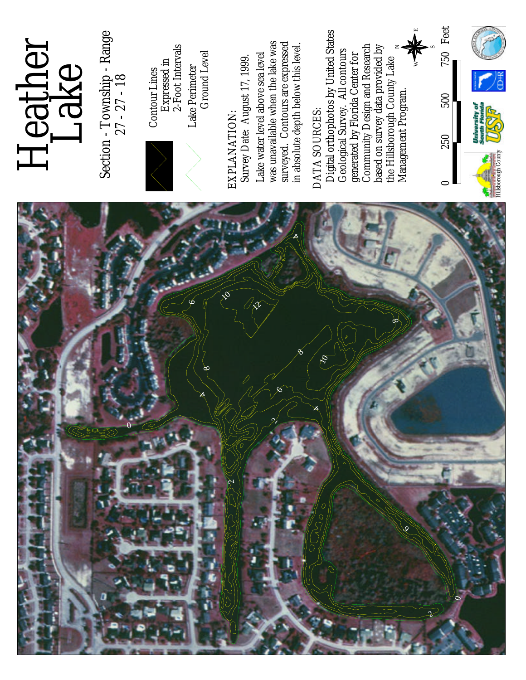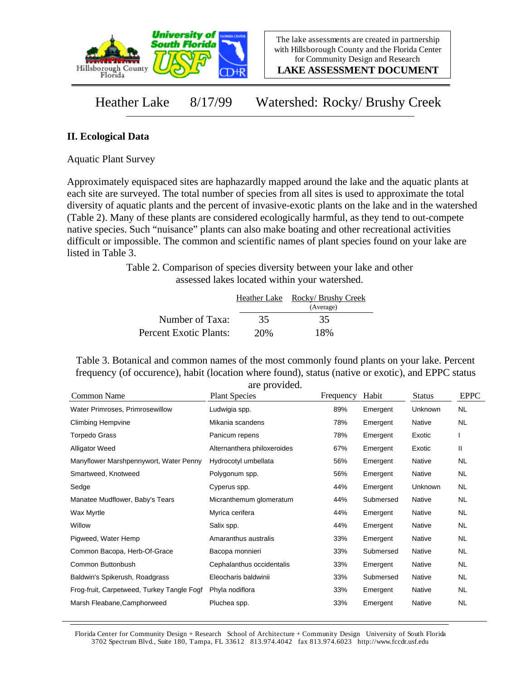

**LAKE ASSESSMENT DOCUMENT**

Heather Lake 8/17/99 Watershed: Rocky/ Brushy Creek

## **II. Ecological Data**

Aquatic Plant Survey

Approximately equispaced sites are haphazardly mapped around the lake and the aquatic plants at each site are surveyed. The total number of species from all sites is used to approximate the total diversity of aquatic plants and the percent of invasive-exotic plants on the lake and in the watershed (Table 2). Many of these plants are considered ecologically harmful, as they tend to out-compete native species. Such "nuisance" plants can also make boating and other recreational activities difficult or impossible. The common and scientific names of plant species found on your lake are listed in Table 3.

> Table 2. Comparison of species diversity between your lake and other assessed lakes located within your watershed.

|                        |     | Heather Lake Rocky/Brushy Creek<br>(Average) |
|------------------------|-----|----------------------------------------------|
| Number of Taxa:        | 35  | 35                                           |
| Percent Exotic Plants: | 20% | 18%                                          |

Table 3. Botanical and common names of the most commonly found plants on your lake. Percent frequency (of occurence), habit (location where found), status (native or exotic), and EPPC status are provided.

| Common Name                                | <b>Plant Species</b>        | Frequency | Habit     | <b>Status</b> | <b>EPPC</b> |
|--------------------------------------------|-----------------------------|-----------|-----------|---------------|-------------|
| Water Primroses, Primrosewillow            | Ludwigia spp.               | 89%       | Emergent  | Unknown       | <b>NL</b>   |
| <b>Climbing Hempvine</b>                   | Mikania scandens            | 78%       | Emergent  | Native        | NL          |
| Torpedo Grass                              | Panicum repens              | 78%       | Emergent  | Exotic        |             |
| <b>Alligator Weed</b>                      | Alternanthera philoxeroides | 67%       | Emergent  | Exotic        | Ш           |
| Manyflower Marshpennywort, Water Penny     | Hydrocotyl umbellata        | 56%       | Emergent  | Native        | NL          |
| Smartweed, Knotweed                        | Polygonum spp.              | 56%       | Emergent  | Native        | NL          |
| Sedge                                      | Cyperus spp.                | 44%       | Emergent  | Unknown       | <b>NL</b>   |
| Manatee Mudflower, Baby's Tears            | Micranthemum glomeratum     | 44%       | Submersed | Native        | <b>NL</b>   |
| Wax Myrtle                                 | Myrica cerifera             | 44%       | Emergent  | Native        | NL          |
| Willow                                     | Salix spp.                  | 44%       | Emergent  | Native        | <b>NL</b>   |
| Pigweed, Water Hemp                        | Amaranthus australis        | 33%       | Emergent  | Native        | <b>NL</b>   |
| Common Bacopa, Herb-Of-Grace               | Bacopa monnieri             | 33%       | Submersed | Native        | <b>NL</b>   |
| Common Buttonbush                          | Cephalanthus occidentalis   | 33%       | Emergent  | Native        | <b>NL</b>   |
| Baldwin's Spikerush, Roadgrass             | Eleocharis baldwinii        | 33%       | Submersed | Native        | NL          |
| Frog-fruit, Carpetweed, Turkey Tangle Fogf | Phyla nodiflora             | 33%       | Emergent  | Native        | <b>NL</b>   |
| Marsh Fleabane, Camphorweed                | Pluchea spp.                | 33%       | Emergent  | Native        | <b>NL</b>   |

Florida Center for Community Design + Research School of Architecture + Community Design University of South Florida 3702 Spectrum Blvd., Suite 180, Tampa, FL 33612 813.974.4042 fax 813.974.6023 http://www.fccdr.usf.edu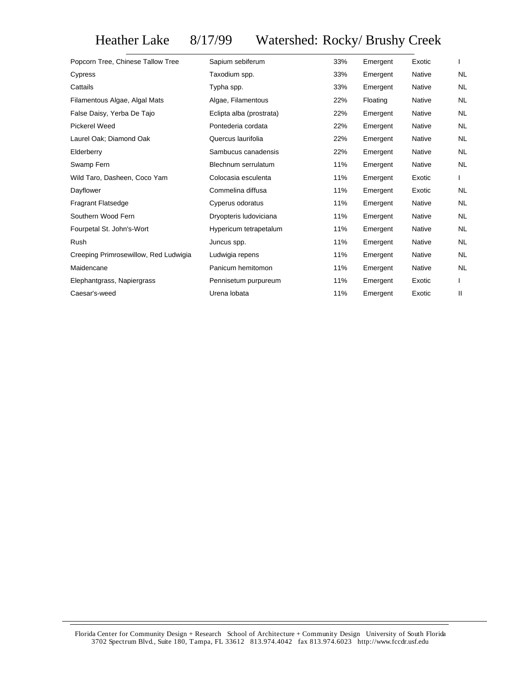Heather Lake 8/17/99 Watershed: Rocky/ Brushy Creek

| Popcorn Tree, Chinese Tallow Tree     | Sapium sebiferum         | 33% | Emergent | Exotic        |           |
|---------------------------------------|--------------------------|-----|----------|---------------|-----------|
| Cypress                               | Taxodium spp.            | 33% | Emergent | Native        | <b>NL</b> |
| Cattails                              | Typha spp.               | 33% | Emergent | <b>Native</b> | <b>NL</b> |
| Filamentous Algae, Algal Mats         | Algae, Filamentous       | 22% | Floating | Native        | <b>NL</b> |
| False Daisy, Yerba De Tajo            | Eclipta alba (prostrata) | 22% | Emergent | <b>Native</b> | <b>NL</b> |
| <b>Pickerel Weed</b>                  | Pontederia cordata       | 22% | Emergent | <b>Native</b> | <b>NL</b> |
| Laurel Oak; Diamond Oak               | Quercus laurifolia       | 22% | Emergent | <b>Native</b> | <b>NL</b> |
| Elderberry                            | Sambucus canadensis      | 22% | Emergent | <b>Native</b> | <b>NL</b> |
| Swamp Fern                            | Blechnum serrulatum      | 11% | Emergent | <b>Native</b> | <b>NL</b> |
| Wild Taro, Dasheen, Coco Yam          | Colocasia esculenta      | 11% | Emergent | Exotic        |           |
| Dayflower                             | Commelina diffusa        | 11% | Emergent | Exotic        | <b>NL</b> |
| Fragrant Flatsedge                    | Cyperus odoratus         | 11% | Emergent | <b>Native</b> | <b>NL</b> |
| Southern Wood Fern                    | Dryopteris Iudoviciana   | 11% | Emergent | Native        | <b>NL</b> |
| Fourpetal St. John's-Wort             | Hypericum tetrapetalum   | 11% | Emergent | Native        | <b>NL</b> |
| Rush                                  | Juncus spp.              | 11% | Emergent | Native        | <b>NL</b> |
| Creeping Primrosewillow, Red Ludwigia | Ludwigia repens          | 11% | Emergent | Native        | <b>NL</b> |
| Maidencane                            | Panicum hemitomon        | 11% | Emergent | Native        | <b>NL</b> |
| Elephantgrass, Napiergrass            | Pennisetum purpureum     | 11% | Emergent | Exotic        |           |
| Caesar's-weed                         | Urena lobata             | 11% | Emergent | Exotic        | Ш         |